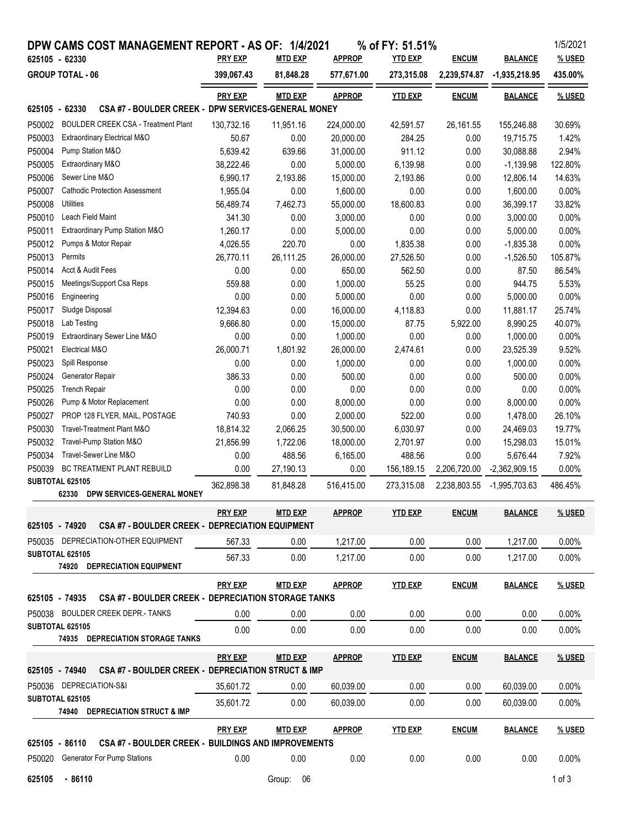|                                           |                        | DPW CAMS COST MANAGEMENT REPORT - AS OF: 1/4/2021                  | <b>PRY EXP</b> | <b>MTD EXP</b> | <b>APPROP</b> | % of FY: 51.51%<br><b>YTD EXP</b> |                              |                                   | 1/5/2021<br>% USED |
|-------------------------------------------|------------------------|--------------------------------------------------------------------|----------------|----------------|---------------|-----------------------------------|------------------------------|-----------------------------------|--------------------|
| 625105 - 62330<br><b>GROUP TOTAL - 06</b> |                        |                                                                    | 399,067.43     | 81,848.28      | 577,671.00    | 273,315.08                        | <b>ENCUM</b><br>2,239,574.87 | <b>BALANCE</b><br>$-1,935,218.95$ | 435.00%            |
|                                           |                        |                                                                    |                |                |               |                                   |                              |                                   |                    |
|                                           |                        |                                                                    | <b>PRY EXP</b> | <b>MTD EXP</b> | <b>APPROP</b> | <b>YTD EXP</b>                    | <b>ENCUM</b>                 | <b>BALANCE</b>                    | <u>% USED</u>      |
| 625105 - 62330                            |                        | CSA #7 - BOULDER CREEK - DPW SERVICES-GENERAL MONEY                |                |                |               |                                   |                              |                                   |                    |
| P50002                                    |                        | <b>BOULDER CREEK CSA - Treatment Plant</b>                         | 130,732.16     | 11,951.16      | 224,000.00    | 42,591.57                         | 26, 161.55                   | 155,246.88                        | 30.69%             |
| P50003                                    |                        | Extraordinary Electrical M&O                                       | 50.67          | 0.00           | 20,000.00     | 284.25                            | 0.00                         | 19,715.75                         | 1.42%              |
| P50004                                    | Pump Station M&O       |                                                                    | 5,639.42       | 639.66         | 31,000.00     | 911.12                            | 0.00                         | 30,088.88                         | 2.94%              |
| P50005                                    | Extraordinary M&O      |                                                                    | 38,222.46      | 0.00           | 5,000.00      | 6,139.98                          | 0.00                         | $-1,139.98$                       | 122.80%            |
| P50006                                    | Sewer Line M&O         |                                                                    | 6,990.17       | 2,193.86       | 15,000.00     | 2,193.86                          | 0.00                         | 12,806.14                         | 14.63%             |
| P50007                                    |                        | <b>Cathodic Protection Assessment</b>                              | 1,955.04       | 0.00           | 1,600.00      | 0.00                              | 0.00                         | 1,600.00                          | 0.00%              |
| P50008                                    | <b>Utilities</b>       |                                                                    | 56,489.74      | 7,462.73       | 55,000.00     | 18,600.83                         | 0.00                         | 36,399.17                         | 33.82%             |
| P50010                                    | Leach Field Maint      |                                                                    | 341.30         | 0.00           | 3,000.00      | 0.00                              | 0.00                         | 3,000.00                          | 0.00%              |
| P50011                                    |                        | Extraordinary Pump Station M&O                                     | 1,260.17       | 0.00           | 5,000.00      | 0.00                              | 0.00                         | 5,000.00                          | 0.00%              |
| P50012                                    |                        | Pumps & Motor Repair                                               | 4,026.55       | 220.70         | 0.00          | 1,835.38                          | 0.00                         | $-1,835.38$                       | 0.00%              |
| P50013                                    | Permits                |                                                                    | 26,770.11      | 26,111.25      | 26,000.00     | 27,526.50                         | 0.00                         | $-1,526.50$                       | 105.87%            |
| P50014                                    | Acct & Audit Fees      |                                                                    | 0.00           | 0.00           | 650.00        | 562.50                            | 0.00                         | 87.50                             | 86.54%             |
| P50015                                    |                        | Meetings/Support Csa Reps                                          | 559.88         | 0.00           | 1,000.00      | 55.25                             | 0.00                         | 944.75                            | 5.53%              |
| P50016                                    | Engineering            |                                                                    | 0.00           | 0.00           | 5,000.00      | 0.00                              | 0.00                         | 5,000.00                          | 0.00%              |
| P50017                                    | Sludge Disposal        |                                                                    | 12,394.63      | 0.00           | 16,000.00     | 4,118.83                          | 0.00                         | 11,881.17                         | 25.74%             |
| P50018                                    | Lab Testing            |                                                                    | 9,666.80       | 0.00           | 15,000.00     | 87.75                             | 5,922.00                     | 8,990.25                          | 40.07%             |
| P50019                                    |                        | Extraordinary Sewer Line M&O                                       | 0.00           | 0.00           | 1,000.00      | 0.00                              | 0.00                         | 1,000.00                          | 0.00%              |
| P50021                                    | Electrical M&O         |                                                                    | 26,000.71      | 1,801.92       | 26,000.00     | 2,474.61                          | 0.00                         | 23,525.39                         | 9.52%              |
| P50023                                    | Spill Response         |                                                                    | 0.00           | 0.00           | 1,000.00      | 0.00                              | 0.00                         | 1,000.00                          | 0.00%              |
| P50024                                    | Generator Repair       |                                                                    | 386.33         | 0.00           | 500.00        | 0.00                              | 0.00                         | 500.00                            | 0.00%              |
| P50025                                    | <b>Trench Repair</b>   |                                                                    | 0.00           | 0.00           | 0.00          | 0.00                              | 0.00                         | 0.00                              | 0.00%              |
| P50026                                    |                        | Pump & Motor Replacement                                           | 0.00           | 0.00           | 8,000.00      | 0.00                              | 0.00                         | 8,000.00                          | 0.00%              |
| P50027                                    |                        | PROP 128 FLYER, MAIL, POSTAGE                                      | 740.93         | 0.00           | 2,000.00      | 522.00                            | 0.00                         | 1,478.00                          | 26.10%             |
| P50030                                    |                        | Travel-Treatment Plant M&O                                         | 18,814.32      | 2,066.25       | 30,500.00     | 6,030.97                          | 0.00                         | 24,469.03                         | 19.77%             |
| P50032                                    |                        | Travel-Pump Station M&O                                            | 21,856.99      | 1,722.06       | 18,000.00     | 2,701.97                          | 0.00                         | 15,298.03                         | 15.01%             |
| P50034                                    |                        | Travel-Sewer Line M&O                                              | 0.00           | 488.56         | 6,165.00      | 488.56                            | 0.00                         | 5,676.44                          | 7.92%              |
| P50039                                    |                        | BC TREATMENT PLANT REBUILD                                         | 0.00           | 27,190.13      | 0.00          | 156,189.15                        | 2,206,720.00                 | $-2,362,909.15$                   | 0.00%              |
|                                           | SUBTOTAL 625105        |                                                                    | 362,898.38     | 81,848.28      | 516,415.00    | 273,315.08                        | 2,238,803.55                 | -1,995,703.63                     | 486.45%            |
|                                           | 62330                  | DPW SERVICES-GENERAL MONEY                                         |                |                |               |                                   |                              |                                   |                    |
|                                           |                        |                                                                    | <b>PRY EXP</b> | <b>MTD EXP</b> | <b>APPROP</b> | <b>YTD EXP</b>                    | <b>ENCUM</b>                 | <b>BALANCE</b>                    | % USED             |
| 625105 - 74920                            |                        | <b>CSA #7 - BOULDER CREEK - DEPRECIATION EQUIPMENT</b>             |                |                |               |                                   |                              |                                   |                    |
|                                           |                        | P50035 DEPRECIATION-OTHER EQUIPMENT                                | 567.33         | 0.00           | 1,217.00      | 0.00                              | 0.00                         | 1,217.00                          | 0.00%              |
|                                           | <b>SUBTOTAL 625105</b> | 74920 DEPRECIATION EQUIPMENT                                       | 567.33         | 0.00           | 1,217.00      | 0.00                              | 0.00                         | 1.217.00                          | $0.00\%$           |
|                                           |                        |                                                                    | <b>PRY EXP</b> | <b>MTD EXP</b> | <b>APPROP</b> | <b>YTD EXP</b>                    | <b>ENCUM</b>                 | <b>BALANCE</b>                    | % USED             |
|                                           | 625105 - 74935         | CSA #7 - BOULDER CREEK - DEPRECIATION STORAGE TANKS                |                |                |               |                                   |                              |                                   |                    |
|                                           |                        | P50038 BOULDER CREEK DEPR.- TANKS                                  | 0.00           | 0.00           | 0.00          | 0.00                              | 0.00                         | 0.00                              | $0.00\%$           |
|                                           | SUBTOTAL 625105        |                                                                    |                |                |               |                                   |                              |                                   |                    |
|                                           |                        | 74935 DEPRECIATION STORAGE TANKS                                   | 0.00           | 0.00           | 0.00          | 0.00                              | 0.00                         | 0.00                              | 0.00%              |
|                                           |                        |                                                                    | <b>PRY EXP</b> | <b>MTD EXP</b> | <b>APPROP</b> | <b>YTD EXP</b>                    | <b>ENCUM</b>                 | <b>BALANCE</b>                    | % USED             |
| 625105 - 74940                            |                        | CSA #7 - BOULDER CREEK - DEPRECIATION STRUCT & IMP                 |                |                |               |                                   |                              |                                   |                    |
|                                           |                        | P50036 DEPRECIATION-S&I                                            | 35,601.72      | 0.00           | 60,039.00     | 0.00                              | 0.00                         | 60,039.00                         | 0.00%              |
|                                           | SUBTOTAL 625105        | 74940 DEPRECIATION STRUCT & IMP                                    | 35,601.72      | 0.00           | 60,039.00     | 0.00                              | 0.00                         | 60,039.00                         | $0.00\%$           |
|                                           |                        |                                                                    | <b>PRY EXP</b> | <b>MTD EXP</b> | <b>APPROP</b> | <b>YTD EXP</b>                    | <b>ENCUM</b>                 | <b>BALANCE</b>                    | % USED             |
|                                           |                        | 625105 - 86110 CSA #7 - BOULDER CREEK - BUILDINGS AND IMPROVEMENTS |                |                |               |                                   |                              |                                   |                    |
| P50020                                    |                        | <b>Generator For Pump Stations</b>                                 | 0.00           | 0.00           | 0.00          | 0.00                              | 0.00                         | 0.00                              | 0.00%              |
| 625105                                    | $-86110$               |                                                                    |                | Group:<br>06   |               |                                   |                              |                                   | $1$ of $3$         |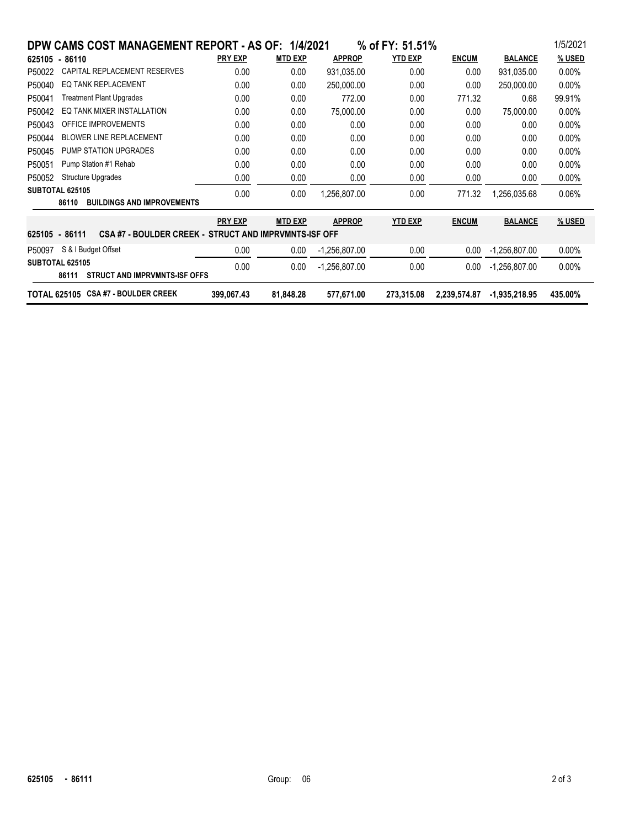| DPW CAMS COST MANAGEMENT REPORT - AS OF: 1/4/2021                       |                |                |                 | % of FY: 51.51% |              |                 | 1/5/2021 |  |  |  |
|-------------------------------------------------------------------------|----------------|----------------|-----------------|-----------------|--------------|-----------------|----------|--|--|--|
| 625105 - 86110                                                          | <b>PRY EXP</b> | <b>MTD EXP</b> | <b>APPROP</b>   | <b>YTD EXP</b>  | <b>ENCUM</b> | <b>BALANCE</b>  | % USED   |  |  |  |
| CAPITAL REPLACEMENT RESERVES<br>P50022                                  | 0.00           | 0.00           | 931,035.00      | 0.00            | 0.00         | 931,035.00      | $0.00\%$ |  |  |  |
| EQ TANK REPLACEMENT<br>P50040                                           | 0.00           | 0.00           | 250,000.00      | 0.00            | 0.00         | 250,000.00      | $0.00\%$ |  |  |  |
| <b>Treatment Plant Upgrades</b><br>P50041                               | 0.00           | 0.00           | 772.00          | 0.00            | 771.32       | 0.68            | 99.91%   |  |  |  |
| EO TANK MIXER INSTALLATION<br>P50042                                    | 0.00           | 0.00           | 75,000.00       | 0.00            | 0.00         | 75,000.00       | $0.00\%$ |  |  |  |
| <b>OFFICE IMPROVEMENTS</b><br>P50043                                    | 0.00           | 0.00           | 0.00            | 0.00            | 0.00         | 0.00            | $0.00\%$ |  |  |  |
| <b>BLOWER LINE REPLACEMENT</b><br>P50044                                | 0.00           | 0.00           | 0.00            | 0.00            | 0.00         | 0.00            | $0.00\%$ |  |  |  |
| PUMP STATION UPGRADES<br>P50045                                         | 0.00           | 0.00           | 0.00            | 0.00            | 0.00         | 0.00            | $0.00\%$ |  |  |  |
| Pump Station #1 Rehab<br>P50051                                         | 0.00           | 0.00           | 0.00            | 0.00            | 0.00         | 0.00            | $0.00\%$ |  |  |  |
| <b>Structure Upgrades</b><br>P50052                                     | 0.00           | 0.00           | 0.00            | 0.00            | 0.00         | 0.00            | $0.00\%$ |  |  |  |
| SUBTOTAL 625105                                                         | 0.00           | 0.00           | 1.256.807.00    | 0.00            | 771.32       | 1,256,035.68    | $0.06\%$ |  |  |  |
| <b>BUILDINGS AND IMPROVEMENTS</b><br>86110                              |                |                |                 |                 |              |                 |          |  |  |  |
|                                                                         | <b>PRY EXP</b> | <b>MTD EXP</b> | <b>APPROP</b>   | <b>YTD EXP</b>  | <b>ENCUM</b> | <b>BALANCE</b>  | % USED   |  |  |  |
| CSA #7 - BOULDER CREEK - STRUCT AND IMPRVMNTS-ISF OFF<br>625105 - 86111 |                |                |                 |                 |              |                 |          |  |  |  |
| S & I Budget Offset<br>P50097                                           | 0.00           | 0.00           | -1,256,807.00   | 0.00            | 0.00         | -1,256,807.00   | $0.00\%$ |  |  |  |
| SUBTOTAL 625105<br><b>STRUCT AND IMPRVMNTS ISF OFFS</b><br>86111        | 0.00           | 0.00           | $-1,256,807.00$ | 0.00            | 0.00         | $-1,256,807.00$ | $0.00\%$ |  |  |  |
| <b>CSA #7 - BOULDER CREEK</b><br><b>TOTAL 625105</b>                    | 399,067.43     | 81,848.28      | 577,671.00      | 273,315.08      | 2,239,574.87 | $-1,935,218.95$ | 435.00%  |  |  |  |